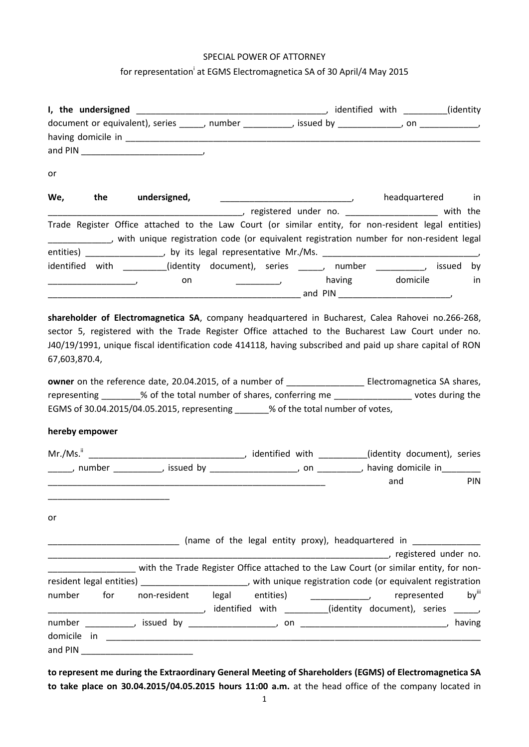## SPECIAL POWER OF ATTORNEY

## for representation<sup>i</sup> at EGMS Electromagnetica SA of 30 April/4 May 2015

|                                           | document or equivalent), series ______, number ___________, issued by ____________, on ____________,                                                                                                           |                                                                                                                                                                                                                                            |                                               |             |                   |
|-------------------------------------------|----------------------------------------------------------------------------------------------------------------------------------------------------------------------------------------------------------------|--------------------------------------------------------------------------------------------------------------------------------------------------------------------------------------------------------------------------------------------|-----------------------------------------------|-------------|-------------------|
|                                           |                                                                                                                                                                                                                |                                                                                                                                                                                                                                            |                                               |             |                   |
|                                           |                                                                                                                                                                                                                |                                                                                                                                                                                                                                            |                                               |             |                   |
| or                                        |                                                                                                                                                                                                                |                                                                                                                                                                                                                                            |                                               |             |                   |
| We,<br><b>the</b>                         | undersigned,                                                                                                                                                                                                   | $\overline{\phantom{a}}$ , and the contract of the contract of the contract of the contract of the contract of the contract of the contract of the contract of the contract of the contract of the contract of the contract of the contrac |                                               |             | headquartered in  |
|                                           |                                                                                                                                                                                                                |                                                                                                                                                                                                                                            |                                               |             |                   |
|                                           | Trade Register Office attached to the Law Court (or similar entity, for non-resident legal entities)<br>_____________, with unique registration code (or equivalent registration number for non-resident legal |                                                                                                                                                                                                                                            |                                               |             |                   |
|                                           | entities) _________________, by its legal representative Mr./Ms. __________________________________                                                                                                            |                                                                                                                                                                                                                                            |                                               |             |                   |
|                                           | identified with _________(identity document), series ______, number __________, issued by                                                                                                                      |                                                                                                                                                                                                                                            |                                               |             |                   |
| $\mathcal{L} = \{x_1, x_2, \ldots, x_n\}$ | on                                                                                                                                                                                                             |                                                                                                                                                                                                                                            | and the same state of the state of the having |             | domicile<br>in    |
| hereby empower                            | representing ________% of the total number of shares, conferring me __________________ votes during the<br>EGMS of 30.04.2015/04.05.2015, representing ______% of the total number of votes,                   |                                                                                                                                                                                                                                            |                                               |             |                   |
|                                           |                                                                                                                                                                                                                |                                                                                                                                                                                                                                            |                                               |             |                   |
|                                           | ______, number ___________, issued by __________________, on _________, having domicile in________                                                                                                             |                                                                                                                                                                                                                                            |                                               |             |                   |
|                                           |                                                                                                                                                                                                                |                                                                                                                                                                                                                                            |                                               | and         | PIN               |
| or                                        |                                                                                                                                                                                                                |                                                                                                                                                                                                                                            |                                               |             |                   |
|                                           |                                                                                                                                                                                                                |                                                                                                                                                                                                                                            |                                               |             |                   |
|                                           | with the Trade Register Office attached to the Law Court (or similar entity, for non-                                                                                                                          |                                                                                                                                                                                                                                            |                                               |             |                   |
|                                           | resident legal entities) _________________________, with unique registration code (or equivalent registration                                                                                                  |                                                                                                                                                                                                                                            |                                               |             |                   |
| number<br>for                             |                                                                                                                                                                                                                |                                                                                                                                                                                                                                            |                                               | represented | by <sup>iii</sup> |
|                                           |                                                                                                                                                                                                                |                                                                                                                                                                                                                                            |                                               |             |                   |
| and PIN                                   |                                                                                                                                                                                                                |                                                                                                                                                                                                                                            |                                               |             |                   |
|                                           |                                                                                                                                                                                                                |                                                                                                                                                                                                                                            |                                               |             |                   |

**to represent me during the Extraordinary General Meeting of Shareholders (EGMS) of Electromagnetica SA to take place on 30.04.2015/04.05.2015 hours 11:00 a.m.** at the head office of the company located in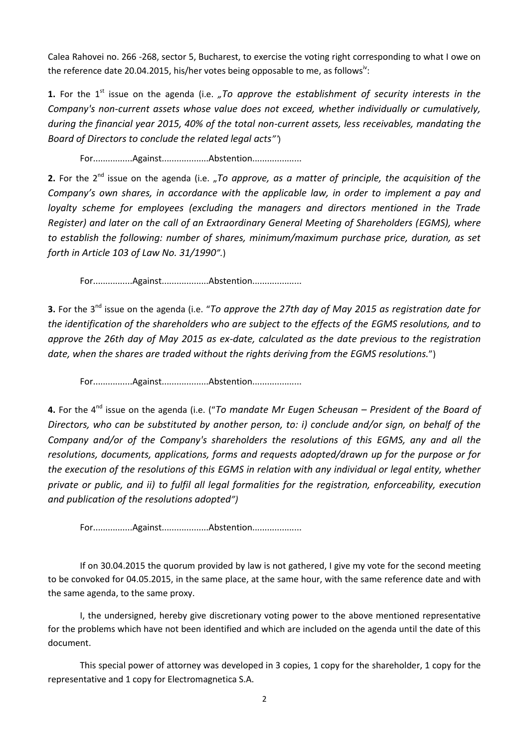Calea Rahovei no. 266 -268, sector 5, Bucharest, to exercise the voting right corresponding to what I owe on the reference date 20.04.2015, his/her votes being opposable to me, as follows<sup>iv</sup>:

**1.** For the 1<sup>st</sup> issue on the agenda (i.e. *"To approve the establishment of security interests in the Company's non-current assets whose value does not exceed, whether individually or cumulatively, during the financial year 2015, 40% of the total non-current assets, less receivables, mandating the Board of Directors to conclude the related legal acts"'*)

For................Against...................Abstention....................

**2.** For the 2<sup>nd</sup> issue on the agenda (i.e. "To approve, as a matter of principle, the acquisition of the *Company's own shares, in accordance with the applicable law, in order to implement a pay and loyalty scheme for employees (excluding the managers and directors mentioned in the Trade Register) and later on the call of an Extraordinary General Meeting of Shareholders (EGMS), where to establish the following: number of shares, minimum/maximum purchase price, duration, as set forth in Article 103 of Law No. 31/1990".*)

For................Against...................Abstention....................

**3.** For the 3nd issue on the agenda (i.e. "*To approve the 27th day of May 2015 as registration date for the identification of the shareholders who are subject to the effects of the EGMS resolutions, and to approve the 26th day of May 2015 as ex-date, calculated as the date previous to the registration date, when the shares are traded without the rights deriving from the EGMS resolutions.*")

For................Against...................Abstention....................

**4.** For the 4<sup>nd</sup> issue on the agenda (i.e. ("To mandate Mr Eugen Scheusan – President of the Board of *Directors, who can be substituted by another person, to: i) conclude and/or sign, on behalf of the Company and/or of the Company's shareholders the resolutions of this EGMS, any and all the resolutions, documents, applications, forms and requests adopted/drawn up for the purpose or for the execution of the resolutions of this EGMS in relation with any individual or legal entity, whether private or public, and ii) to fulfil all legal formalities for the registration, enforceability, execution and publication of the resolutions adopted")*

For................Against...................Abstention....................

If on 30.04.2015 the quorum provided by law is not gathered, I give my vote for the second meeting to be convoked for 04.05.2015, in the same place, at the same hour, with the same reference date and with the same agenda, to the same proxy.

I, the undersigned, hereby give discretionary voting power to the above mentioned representative for the problems which have not been identified and which are included on the agenda until the date of this document.

This special power of attorney was developed in 3 copies, 1 copy for the shareholder, 1 copy for the representative and 1 copy for Electromagnetica S.A.